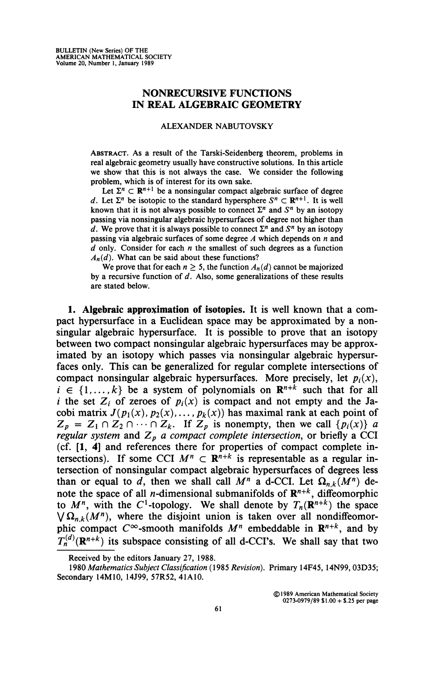## **NONRECURSIVE FUNCTIONS IN REAL ALGEBRAIC GEOMETRY**

## **ALEXANDER NABUTOVSKY**

**ABSTRACT. AS a result of the Tarski-Seidenberg theorem, problems in real algebraic geometry usually have constructive solutions. In this article we show that this is not always the case. We consider the following problem, which is of interest for its own sake.** 

Let  $\Sigma^n \subset \mathbb{R}^{n+1}$  be a nonsingular compact algebraic surface of degree d. Let  $\Sigma^n$  be isotopic to the standard hypersphere  $S^n \subset \mathbb{R}^{n+1}$ . It is well known that it is not always possible to connect  $\Sigma^n$  and  $S^n$  by an isotopy **passing via nonsingular algebraic hypersurfaces of degree not higher than**  *d*. We prove that it is always possible to connect  $\Sigma^n$  and  $S^n$  by an isotopy **passing via algebraic surfaces of some degree** *A* **which depends on** *n* **and**  *d* **only. Consider for each** *n* **the smallest of such degrees as a function**   $A_n(d)$ . What can be said about these functions?

We prove that for each  $n \geq 5$ , the function  $A_n(d)$  cannot be majorized **by a recursive function of** *d.* **Also, some generalizations of these results are stated below.** 

**1. Algebraic approximation of isotopies. It** is well known that a compact hypersurface in a Euclidean space may be approximated by a nonsingular algebraic hypersurface. It is possible to prove that an isotopy between two compact nonsingular algebraic hypersurfaces may be approximated by an isotopy which passes via nonsingular algebraic hypersurfaces only. This can be generalized for regular complete intersections of compact nonsingular algebraic hypersurfaces. More precisely, let  $p_i(x)$ ,  $i \in \{1, ..., k\}$  be a system of polynomials on  $\mathbb{R}^{n+k}$  such that for all *i* the set  $Z_i$  of zeroes of  $p_i(x)$  is compact and not empty and the Jacobi matrix  $J(p_1(x), p_2(x),..., p_k(x))$  has maximal rank at each point of  $Z_p = Z_1 \cap Z_2 \cap \cdots \cap Z_k$ *.* If  $Z_p$  is nonempty, then we call  $\{p_i(x)\}\$  *a regular system* and *Zp a compact complete intersection,* or briefly a CCI (cf. [1, 4] and references there for properties of compact complete intersections). If some CCI  $M^n \subset \mathbb{R}^{n+k}$  is representable as a regular intersection of nonsingular compact algebraic hypersurfaces of degrees less than or equal to d, then we shall call  $M^n$  a d-CCI. Let  $\Omega_{n,k}(M^n)$  denote the space of all *n*-dimensional submanifolds of  $\mathbb{R}^{n+k}$ , diffeomorphic to  $M^n$ , with the C<sup>1</sup>-topology. We shall denote by  $T_n(\mathbb{R}^{n+k})$  the space  $\bigvee \Omega_{n,k}(M^n)$ , where the disjoint union is taken over all nondiffeomorphic compact  $C^{\infty}$ -smooth manifolds  $M^n$  embeddable in  $\mathbb{R}^{n+k}$ , and by  $T_n^{(d)}(\mathbf{R}^{n+k})$  its subspace consisting of all d-CCFs. We shall say that two

**© 1989 American Mathematical Society 0273-0979/89 \$1.00 + \$.25 per page** 

**Received by the editors January 27, 1988.** 

**<sup>1980</sup>** *Mathematics Subject Classification* **(1985** *Revision).* **Primary 14F45, 14N99,03D35; Secondary 14M10, 14J99, 57R52, 41A10.**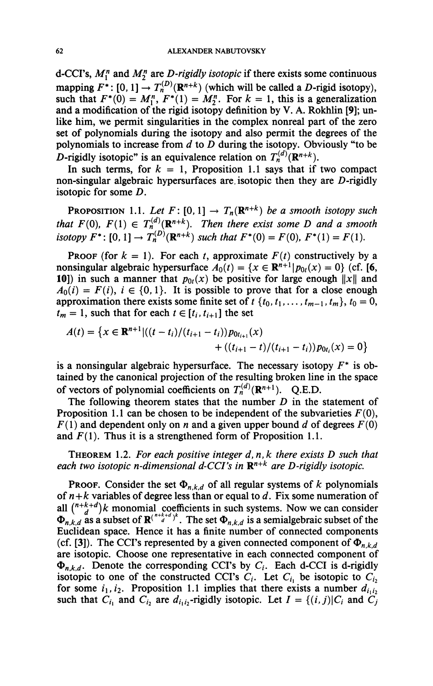d-CCI's,  $M_1^n$  and  $M_2^n$  are *D-rigidly isotopic* if there exists some continuous mapping  $F^*$ :  $[0,1] \to T_n^{(D)}(\mathbb{R}^{n+k})$  (which will be called a *D*-rigid isotopy), such that  $F^*(0) = M_1^n$ ,  $F^*(1) = M_2^n$ . For  $k = 1$ , this is a generalization and a modification of the rigid isotopy definition by V. A. Rokhlin [9]; unlike him, we permit singularities in the complex nonreal part of the zero set of polynomials during the isotopy and also permit the degrees of the polynomials to increase from *d* to *D* during the isotopy. Obviously "to be D-rigidly isotopic" is an equivalence relation on  $T_n^{(d)}(\mathbb{R}^{n+k})$ .

In such terms, for  $k = 1$ , Proposition 1.1 says that if two compact non-singular algebraic hypersurfaces are. isotopic then they are D-rigidly isotopic for some *D.* 

**PROPOSITION** 1.1. Let  $F: [0,1] \rightarrow T_n(\mathbb{R}^{n+k})$  be a smooth isotopy such *that*  $F(0)$ ,  $F(1) \in T_n^{(d)}(\mathbb{R}^{n+k})$ . Then there exist some D and a smooth *isotopy*  $F^*$ :  $[0, 1] \to T_n^{(D)}(\mathbb{R}^{n+k})$  *such that*  $F^*(0) = F(0)$ ,  $F^*(1) = F(1)$ .

**PROOF** (for  $k = 1$ ). For each *t*, approximate  $F(t)$  constructively by a nonsingular algebraic hypersurface  $A_0(t) = \{x \in \mathbb{R}^{n+1} | p_{0t}(x) = 0\}$  (cf. [6, 10]) in such a manner that  $p_{0t}(x)$  be positive for large enough  $||x||$  and  $A_0(i) = F(i)$ ,  $i \in \{0, 1\}$ . It is possible to prove that for a close enough approximation there exists some finite set of  $t \{t_0, t_1, \ldots, t_{m-1}, t_m\}, t_0 = 0$ ,  $t_m = 1$ , such that for each  $t \in [t_i, t_{i+1}]$  the set

$$
A(t) = \{x \in \mathbf{R}^{n+1} | ((t - t_i)/(t_{i+1} - t_i)) p_{0t_{i+1}}(x) + ((t_{i+1} - t)/(t_{i+1} - t_i)) p_{0t_i}(x) = 0\}
$$

is a nonsingular algebraic hypersurface. The necessary isotopy  $F^*$  is obtained by the canonical projection of the resulting broken line in the space of vectors of polynomial coefficients on  $T_n^{(d)}(\mathbb{R}^{n+1})$ . Q.E.D.

The following theorem states that the number *D* in the statement of Proposition 1.1 can be chosen to be independent of the subvarieties  $F(0)$ ,  $F(1)$  and dependent only on *n* and a given upper bound *d* of degrees  $F(0)$ and  $F(1)$ . Thus it is a strengthened form of Proposition 1.1.

## THEOREM 1.2. *For each positive integer d,n,k there exists D such that each two isotopic n-dimensional d-CCFs in Rn+k are D-rigidly isotopic.*

PROOF. Consider the set  $\Phi_{n,k,d}$  of all regular systems of *k* polynomials of *n*+*k* variables of degree less than or equal to *d*. Fix some numeration of all  $\binom{n+k+d}{d}k$  monomial coefficients in such systems. Now we can consider  $\Phi_{n,k,d}$  as a subset of  $\mathbb{R}^{(\binom{n+k+d}{d})^k}$ . The set  $\Phi_{n,k,d}$  is a semialgebraic subset of the Euclidean space. Hence it has a finite number of connected components (cf. [3]). The CCI's represented by a given connected component of  $\Phi_{n,k,d}$ are isotopic. Choose one representative in each connected component of  $\Phi_{n,k,d}$ . Denote the corresponding CCI's by  $C_i$ . Each d-CCI is d-rigidly isotopic to one of the constructed CCI's  $C_i$ . Let  $C_{i_1}$  be isotopic to  $C_{i_2}$ for some  $i_1, i_2$ . Proposition 1.1 implies that there exists a number  $d_{i_1i_2}$ such that  $C_{i_1}$  and  $C_{i_2}$  are  $d_{i_1i_2}$ -rigidly isotopic. Let  $I = \{(i,j)|C_i$  and  $C_j$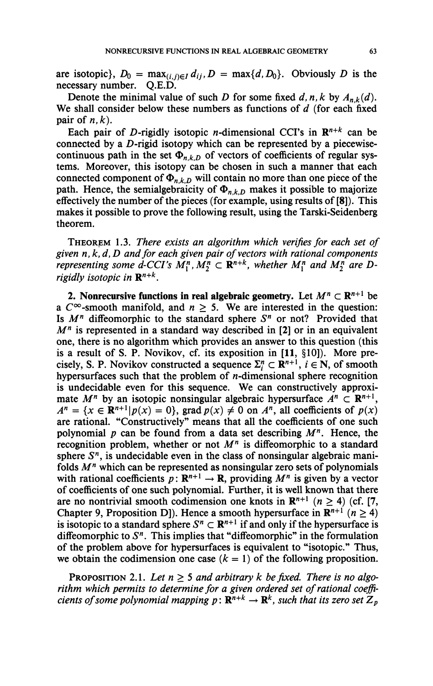are isotopic},  $D_0 = \max_{(i,j)\in I} d_{ij}$ ,  $D = \max\{d, D_0\}$ . Obviously *D* is the **necessary number. Q.E.D.** 

Denote the minimal value of such *D* for some fixed *d, n, k* by  $A_{n,k}(d)$ . **We shall consider below these numbers as functions of** *d* **(for each fixed**  pair of  $n, k$ ).

Each pair of D-rigidly isotopic *n*-dimensional CCI's in  $\mathbb{R}^{n+k}$  can be **connected by a D-rigid isotopy which can be represented by a piecewise**continuous path in the set  $\Phi_{n,k,D}$  of vectors of coefficients of regular sys**tems. Moreover, this isotopy can be chosen in such a manner that each**  connected component of  $\Phi_{n,k,D}$  will contain no more than one piece of the path. Hence, the semialgebraicity of  $\Phi_{n,k,D}$  makes it possible to majorize **effectively the number of the pieces (for example, using results of [8]). This makes it possible to prove the following result, using the Tarski-Seidenberg theorem.** 

**THEOREM 1.3.** *There exists an algorithm which verifies for each set of given n, k, d, D and for each given pair of vectors with rational components representing some d-CCI's*  $M_1^n$ ,  $M_2^n \subset \mathbf{R}^{n+k}$ , whether  $M_1^n$  and  $M_2^n$  are D*rigidly isotopic in Rn+k*

**2.** Nonrecursive functions in real algebraic geometry. Let  $M^n \subset \mathbb{R}^{n+1}$  be **a**  $C^{\infty}$ -smooth manifold, and  $n \ge 5$ . We are interested in the question: **Is** *M<sup>n</sup>*  **diffeomorphic to the standard sphere** *S<sup>n</sup>*  **or not? Provided that**  *M*<sup>n</sup> is represented in a standard way described in [2] or in an equivalent **one, there is no algorithm which provides an answer to this question (this is a result of S. P. Novikov, cf. its exposition in [11, §10]). More pre**cisely, S. P. Novikov constructed a sequence  $\Sigma_i^n \subset \mathbb{R}^{n+1}$ ,  $i \in \mathbb{N}$ , of smooth hypersurfaces such that the problem of *n*-dimensional sphere recognition **is undecidable even for this sequence. We can constructively approxi**mate  $M^n$  by an isotopic nonsingular algebraic hypersurface  $A^n \subset \mathbb{R}^{n+1}$ ,  $A^n = \{x \in \mathbb{R}^{n+1} | p(x) = 0 \}$ , grad  $p(x) \neq 0$  on  $A^n$ , all coefficients of  $p(x)$ **are rational. "Constructively" means that all the coefficients of one such**  polynomial  $p$  can be found from a data set describing  $M^n$ . Hence, the recognition problem, whether or not  $M^n$  is diffeomorphic to a standard sphere  $S^n$ , is undecidable even in the class of nonsingular algebraic mani**folds** *M<sup>n</sup>*  **which can be represented as nonsingular zero sets of polynomials**  with rational coefficients  $p : \mathbb{R}^{n+1} \to \mathbb{R}$ , providing  $M^n$  is given by a vector **of coefficients of one such polynomial. Further, it is well known that there**  are no nontrivial smooth codimension one knots in  $\mathbb{R}^{n+1}$  ( $n \geq 4$ ) (cf. [7, **Chapter 9, Proposition D]). Hence a smooth hypersurface in**  $\mathbb{R}^{n+1}$  **(** $n \ge 4$ **)** is isotopic to a standard sphere  $S^n \subset \mathbb{R}^{n+1}$  if and only if the hypersurface is  $S^n$ diffeomorphic to  $S^n$ . This implies that "diffeomorphic" in the formulation **of the problem above for hypersurfaces is equivalent to "isotopic." Thus,**  we obtain the codimension one case  $(k = 1)$  of the following proposition.

**PROPOSITION** 2.1. Let  $n \geq 5$  and arbitrary k be fixed. There is no algo*rithm which permits to determine for a given ordered set of rational coefficients of some polynomial mapping*  $p : \mathbf{R}^{n+k} \to \mathbf{R}^k$ *, such that its zero set*  $\mathbb{Z}_p$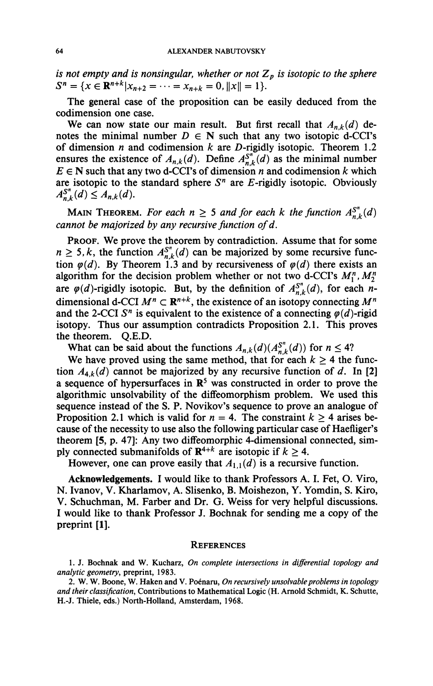*is not empty and is nonsingular, whether or not Zp is isotopic to the sphere*   $S^n = \{x \in \mathbb{R}^{n+k} | x_{n+2} = \cdots = x_{n+k} = 0, \|x\| = 1\}.$ 

**The general case of the proposition can be easily deduced from the codimension one case.** 

We can now state our main result. But first recall that  $A_{n,k}(d)$  denotes the minimal number  $D \in N$  such that any two isotopic d-CCI's **of dimension** *n* **and codimension** *k* **are D-rigidly isotopic. Theorem 1.2**  ensures the existence of  $A_{n,k}(d)$ . Define  $A_{n,k}^{S^{n}}(d)$  as the minimal number  $E \in \mathbb{N}$  such that any two d-CCI's of dimension *n* and codimension *k* which are isotopic to the standard sphere  $S<sup>n</sup>$  are E-rigidly isotopic. Obviously  $A_{n,k}^{S^n}(d) \leq A_{n,k}(d)$ 

**MAIN THEOREM.** For each  $n \geq 5$  and for each k the function  $A_{n,k}^{S^n}(d)$ *cannot be majorized by any recursive function ofd.* 

**PROOF. We prove the theorem by contradiction. Assume that for some**   $n \geq 5, k$ , the function  $A^{S^n}_{n,k}(d)$  can be majorized by some recursive func**tion**  $\varphi(d)$ . By Theorem 1.3 and by recursiveness of  $\varphi(d)$  there exists an algorithm for the decision problem whether or not two d-CCI's  $M_1^n$ ,  $M_2^n$ are  $\varphi(d)$ -rigidly isotopic. But, by the definition of  $A_{n,k}^{S^n}(d)$ , for each *n*dimensional d-CCI  $M^n \subset \mathbb{R}^{n+k}$ , the existence of an isotopy connecting  $M^n$ and the 2-CCI  $S^n$  is equivalent to the existence of a connecting  $\varphi(d)$ -rigid **isotopy. Thus our assumption contradicts Proposition 2.1. This proves the theorem. Q.E.D.** 

What can be said about the functions  $A_{n,k}(d)(A_{n,k}^{S^n}(d))$  for  $n \leq 4$ ?

We have proved using the same method, that for each  $k \geq 4$  the func**tion**  $A_{4,k}(d)$  cannot be majorized by any recursive function of d. In [2] **a sequence of hypersurfaces in R<sup>5</sup> was constructed in order to prove the algorithmic unsolvability of the diffeomorphism problem. We used this sequence instead of the S. P. Novikov's sequence to prove an analogue of Proposition 2.1 which is valid for**  $n = 4$ **. The constraint**  $k \ge 4$  arises be**cause of the necessity to use also the following particular case of Haefliger's theorem [5, p. 47]: Any two diffeomorphic 4-dimensional connected, sim**ply connected submanifolds of  $\mathbb{R}^{4+k}$  are isotopic if  $k \ge 4$ .

However, one can prove easily that  $A_{1,1}(d)$  is a recursive function.

**Acknowledgements. I would like to thank Professors A. I. Fet, O. Viro, N. Ivanov, V. Kharlamov, A. Slisenko, B. Moishezon, Y. Yomdin, S. Kiro, V. Schuchman, M. Farber and Dr. G. Weiss for very helpful discussions. I would like to thank Professor J. Bochnak for sending me a copy of the preprint [1].** 

## **REFERENCES**

**1. J. Bochnak and W. Kucharz,** *On complete intersections in differential topology and analytic geometry,* **preprint, 1983.** 

**2. W. W. Boone, W. Haken and V. Poénaru,** *On recursively unsolvableproblems in topology and their classification,* **Contributions to Mathematical Logic (H. Arnold Schmidt, K. Schutte, H.-J. Thiele, eds.) North-Holland, Amsterdam, 1968.**